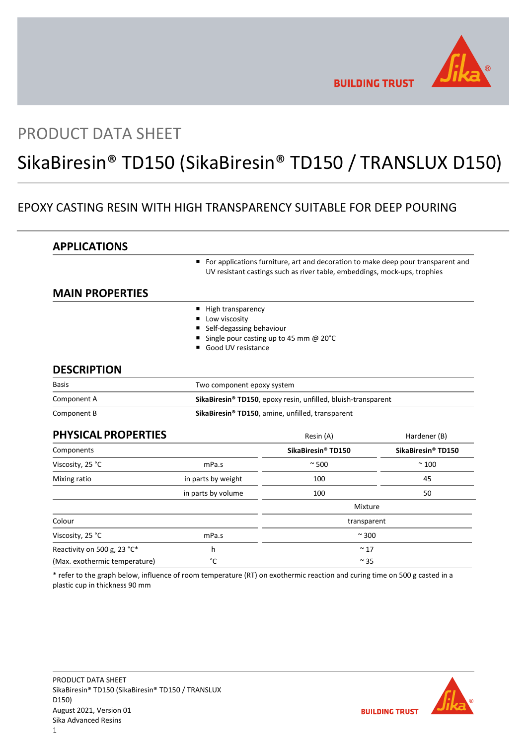

# PRODUCT DATA SHEET

# SikaBiresin® TD150 (SikaBiresin® TD150 / TRANSLUX D150)

# EPOXY CASTING RESIN WITH HIGH TRANSPARENCY SUITABLE FOR DEEP POURING

| <b>APPLICATIONS</b>           |                                                               |                                                                                                                                                               |                                |
|-------------------------------|---------------------------------------------------------------|---------------------------------------------------------------------------------------------------------------------------------------------------------------|--------------------------------|
|                               |                                                               | For applications furniture, art and decoration to make deep pour transparent and<br>UV resistant castings such as river table, embeddings, mock-ups, trophies |                                |
| <b>MAIN PROPERTIES</b>        |                                                               |                                                                                                                                                               |                                |
|                               | High transparency                                             |                                                                                                                                                               |                                |
|                               | Low viscosity                                                 |                                                                                                                                                               |                                |
|                               | Self-degassing behaviour                                      |                                                                                                                                                               |                                |
|                               | Good UV resistance                                            | Single pour casting up to 45 mm @ 20°C                                                                                                                        |                                |
| <b>DESCRIPTION</b>            |                                                               |                                                                                                                                                               |                                |
| <b>Basis</b>                  | Two component epoxy system                                    |                                                                                                                                                               |                                |
| Component A                   | SikaBiresin® TD150, epoxy resin, unfilled, bluish-transparent |                                                                                                                                                               |                                |
| Component B                   |                                                               | SikaBiresin® TD150, amine, unfilled, transparent                                                                                                              |                                |
| <b>PHYSICAL PROPERTIES</b>    |                                                               | Resin (A)                                                                                                                                                     | Hardener (B)                   |
| Components                    |                                                               | SikaBiresin® TD150                                                                                                                                            | SikaBiresin <sup>®</sup> TD150 |
| Viscosity, 25 °C              | mPa.s                                                         | $\sim$ 500                                                                                                                                                    | $~^{\sim}$ 100                 |
| Mixing ratio                  | in parts by weight                                            | 100                                                                                                                                                           | 45                             |
|                               | in parts by volume                                            | 100                                                                                                                                                           | 50                             |
|                               |                                                               | Mixture                                                                                                                                                       |                                |
| Colour                        |                                                               | transparent                                                                                                                                                   |                                |
| Viscosity, 25 °C              | mPa.s                                                         | $~\sim$ 300                                                                                                                                                   |                                |
| Reactivity on 500 g, 23 °C*   | h                                                             | $~^{\sim}$ 17                                                                                                                                                 |                                |
| (Max. exothermic temperature) | °C                                                            | $\sim$ 35                                                                                                                                                     |                                |

\* refer to the graph below, influence of room temperature (RT) on exothermic reaction and curing time on 500 g casted in a plastic cup in thickness 90 mm



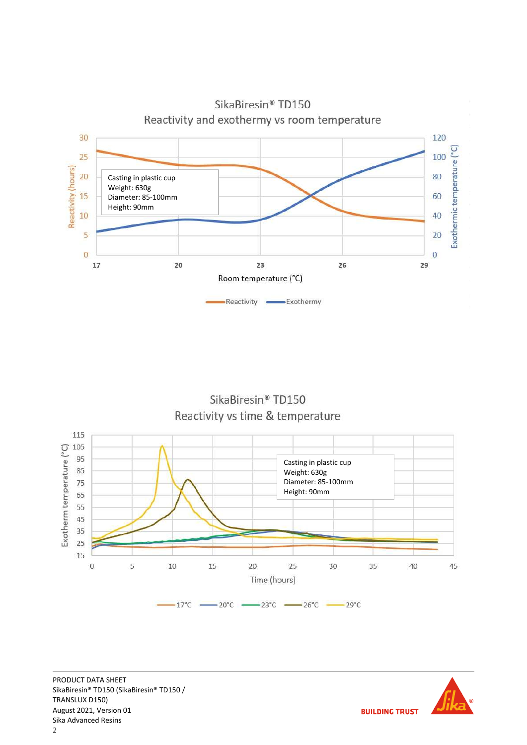

SikaBiresin® TD150 Reactivity vs time & temperature



PRODUCT DATA SHEET SikaBiresin® TD150 (SikaBiresin® TD150 / TRANSLUX D150) August 2021, Version 01 Sika Advanced Resins

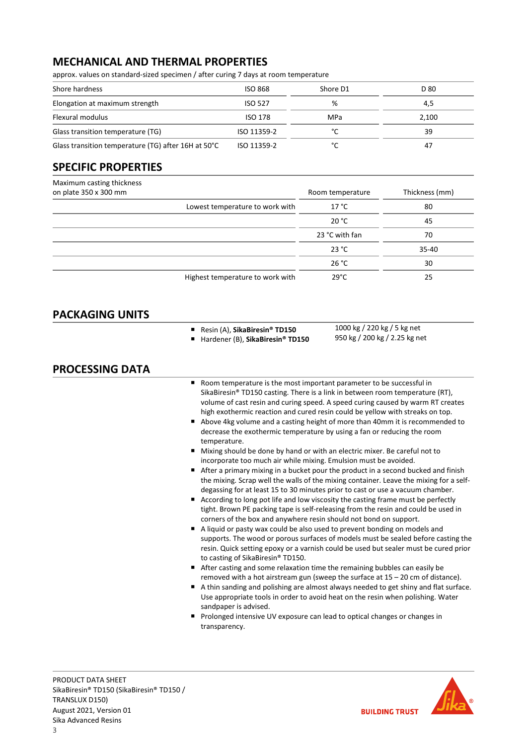# MECHANICAL AND THERMAL PROPERTIES

approx. values on standard-sized specimen / after curing 7 days at room temperature

| Shore hardness                                      | <b>ISO 868</b> | Shore D1 | D 80  |
|-----------------------------------------------------|----------------|----------|-------|
| Elongation at maximum strength                      | <b>ISO 527</b> | %        | 4,5   |
| Flexural modulus                                    | ISO 178        | MPa      | 2,100 |
| Glass transition temperature (TG)                   | ISO 11359-2    | °C       | 39    |
| Glass transition temperature (TG) after 16H at 50°C | ISO 11359-2    | °C       | 47    |

# SPECIFIC PROPERTIES

| Maximum casting thickness        |                  |                |
|----------------------------------|------------------|----------------|
| on plate 350 x 300 mm            | Room temperature | Thickness (mm) |
| Lowest temperature to work with  | 17 °C            | 80             |
|                                  | 20 °C            | 45             |
|                                  | 23 °C with fan   | 70             |
|                                  | 23 °C            | $35 - 40$      |
|                                  | 26 °C            | 30             |
| Highest temperature to work with | $29^{\circ}$ C   | 25             |

# PACKAGING UNITS

- Resin (A), SikaBiresin® TD150
- Hardener (B), SikaBiresin® TD150
- 1000 kg / 220 kg / 5 kg net 950 kg / 200 kg / 2.25 kg net

# PROCESSING DATA

- Room temperature is the most important parameter to be successful in SikaBiresin® TD150 casting. There is a link in between room temperature (RT), volume of cast resin and curing speed. A speed curing caused by warm RT creates high exothermic reaction and cured resin could be yellow with streaks on top.
- Above 4kg volume and a casting height of more than 40mm it is recommended to decrease the exothermic temperature by using a fan or reducing the room temperature.
- Mixing should be done by hand or with an electric mixer. Be careful not to incorporate too much air while mixing. Emulsion must be avoided.
- After a primary mixing in a bucket pour the product in a second bucked and finish the mixing. Scrap well the walls of the mixing container. Leave the mixing for a selfdegassing for at least 15 to 30 minutes prior to cast or use a vacuum chamber.
- According to long pot life and low viscosity the casting frame must be perfectly tight. Brown PE packing tape is self-releasing from the resin and could be used in corners of the box and anywhere resin should not bond on support.
- A liquid or pasty wax could be also used to prevent bonding on models and supports. The wood or porous surfaces of models must be sealed before casting the resin. Quick setting epoxy or a varnish could be used but sealer must be cured prior to casting of SikaBiresin® TD150.
- After casting and some relaxation time the remaining bubbles can easily be removed with a hot airstream gun (sweep the surface at 15 – 20 cm of distance).
- A thin sanding and polishing are almost always needed to get shiny and flat surface. Use appropriate tools in order to avoid heat on the resin when polishing. Water sandpaper is advised.
- **Prolonged intensive UV exposure can lead to optical changes or changes in** transparency.

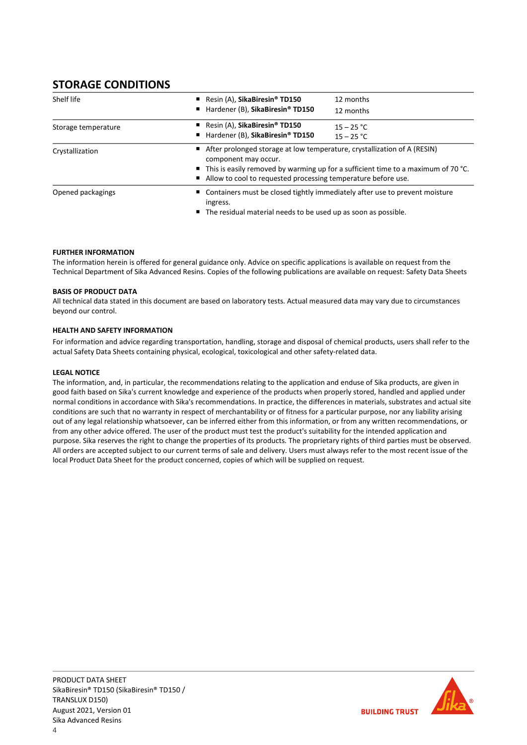# STORAGE CONDITIONS

| Shelf life          | Resin $(A)$ , SikaBiresin <sup>®</sup> TD150<br>Hardener (B), SikaBiresin® TD150                                                                                                                                                                                      | 12 months<br>12 months                                                                                                                            |  |
|---------------------|-----------------------------------------------------------------------------------------------------------------------------------------------------------------------------------------------------------------------------------------------------------------------|---------------------------------------------------------------------------------------------------------------------------------------------------|--|
| Storage temperature | Resin $(A)$ , SikaBiresin <sup>®</sup> TD150<br>Hardener (B), SikaBiresin® TD150                                                                                                                                                                                      | $15 - 25 °C$<br>$15 - 25 °C$                                                                                                                      |  |
| Crystallization     | After prolonged storage at low temperature, crystallization of A (RESIN)<br>component may occur.<br>$\blacksquare$ This is easily removed by warming up for a sufficient time to a maximum of 70 °C.<br>Allow to cool to requested processing temperature before use. |                                                                                                                                                   |  |
| Opened packagings   | ingress.                                                                                                                                                                                                                                                              | ■ Containers must be closed tightly immediately after use to prevent moisture<br>■ The residual material needs to be used up as soon as possible. |  |

## FURTHER INFORMATION

The information herein is offered for general guidance only. Advice on specific applications is available on request from the Technical Department of Sika Advanced Resins. Copies of the following publications are available on request: Safety Data Sheets

### BASIS OF PRODUCT DATA

All technical data stated in this document are based on laboratory tests. Actual measured data may vary due to circumstances beyond our control.

### HEALTH AND SAFETY INFORMATION

For information and advice regarding transportation, handling, storage and disposal of chemical products, users shall refer to the actual Safety Data Sheets containing physical, ecological, toxicological and other safety-related data.

### LEGAL NOTICE

The information, and, in particular, the recommendations relating to the application and enduse of Sika products, are given in good faith based on Sika's current knowledge and experience of the products when properly stored, handled and applied under normal conditions in accordance with Sika's recommendations. In practice, the differences in materials, substrates and actual site conditions are such that no warranty in respect of merchantability or of fitness for a particular purpose, nor any liability arising out of any legal relationship whatsoever, can be inferred either from this information, or from any written recommendations, or from any other advice offered. The user of the product must test the product's suitability for the intended application and purpose. Sika reserves the right to change the properties of its products. The proprietary rights of third parties must be observed. All orders are accepted subject to our current terms of sale and delivery. Users must always refer to the most recent issue of the local Product Data Sheet for the product concerned, copies of which will be supplied on request.

**BUILDING TRUST**